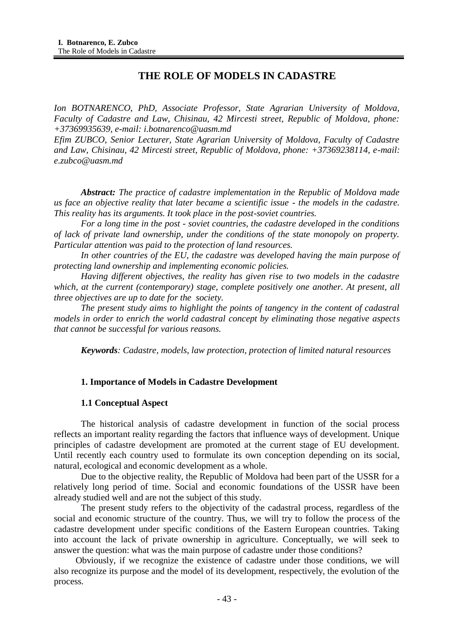# **THE ROLE OF MODELS IN CADASTRE**

*Ion BOTNARENCO, PhD, Associate Professor, State Agrarian University of Moldova, Faculty of Cadastre and Law, Chisinau, 42 Mircesti street, Republic of Moldova, phone: +37369935639, e-mail: [i.botnarenco@uasm.md](mailto:i.botnarenco@uasm.md)*

*Efim ZUBCO, Senior Lecturer, State Agrarian University of Moldova, Faculty of Cadastre and Law, Chisinau, 42 Mircesti street, Republic of Moldova, phone: +37369238114, e-mail: [e.zubco@uasm.md](mailto:e.zubco@uasm.md)*

*Abstract: The practice of cadastre implementation in the Republic of Moldova made us face an objective reality that later became a scientific issue - the models in the cadastre. This reality has its arguments. It took place in the post-soviet countries.*

*For a long time in the post - soviet countries, the cadastre developed in the conditions of lack of private land ownership, under the conditions of the state monopoly on property. Particular attention was paid to the protection of land resources.*

In other countries of the EU, the cadastre was developed having the main purpose of *protecting land ownership and implementing economic policies.*

*Having different objectives, the reality has given rise to two models in the cadastre which, at the current (contemporary) stage, complete positively one another. At present, all three objectives are up to date for the society.*

*The present study aims to highlight the points of tangency in the content of cadastral models in order to enrich the world cadastral concept by eliminating those negative aspects that cannot be successful for various reasons.*

*Keywords: Cadastre, models, law protection, protection of limited natural resources*

### **1. Importance of Models in Cadastre Development**

### **1.1 Conceptual Aspect**

The historical analysis of cadastre development in function of the social process reflects an important reality regarding the factors that influence ways of development. Unique principles of cadastre development are promoted at the current stage of EU development. Until recently each country used to formulate its own conception depending on its social, natural, ecological and economic development as a whole.

Due to the objective reality, the Republic of Moldova had been part of the USSR for a relatively long period of time. Social and economic foundations of the USSR have been already studied well and are not the subject of this study.

The present study refers to the objectivity of the cadastral process, regardless of the social and economic structure of the country. Thus, we will try to follow the process of the cadastre development under specific conditions of the Eastern European countries. Taking into account the lack of private ownership in agriculture. Conceptually, we will seek to answer the question: what was the main purpose of cadastre under those conditions?

Obviously, if we recognize the existence of cadastre under those conditions, we will also recognize its purpose and the model of its development, respectively, the evolution of the process.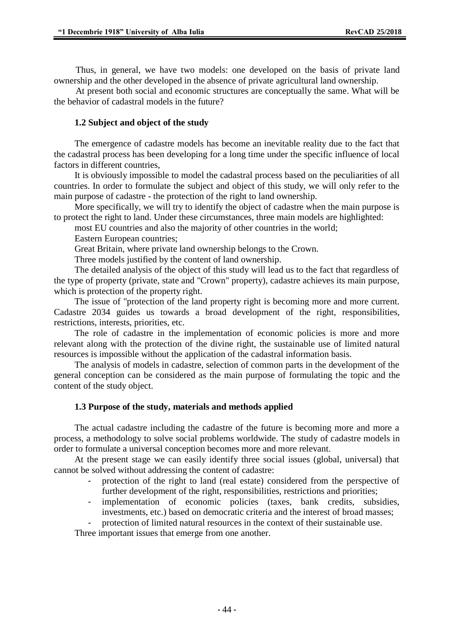Thus, in general, we have two models: one developed on the basis of private land ownership and the other developed in the absence of private agricultural land ownership.

At present both social and economic structures are conceptually the same. What will be the behavior of cadastral models in the future?

#### **1.2 Subject and object of the study**

The emergence of cadastre models has become an inevitable reality due to the fact that the cadastral process has been developing for a long time under the specific influence of local factors in different countries,

It is obviously impossible to model the cadastral process based on the peculiarities of all countries. In order to formulate the subject and object of this study, we will only refer to the main purpose of cadastre - the protection of the right to land ownership.

More specifically, we will try to identify the object of cadastre when the main purpose is to protect the right to land. Under these circumstances, three main models are highlighted:

most EU countries and also the majority of other countries in the world;

Eastern European countries;

Great Britain, where private land ownership belongs to the Crown.

Three models justified by the content of land ownership.

The detailed analysis of the object of this study will lead us to the fact that regardless of the type of property (private, state and "Crown" property), cadastre achieves its main purpose, which is protection of the property right.

The issue of "protection of the land property right is becoming more and more current. Cadastre 2034 guides us towards a broad development of the right, responsibilities, restrictions, interests, priorities, etc.

The role of cadastre in the implementation of economic policies is more and more relevant along with the protection of the divine right, the sustainable use of limited natural resources is impossible without the application of the cadastral information basis.

The analysis of models in cadastre, selection of common parts in the development of the general conception can be considered as the main purpose of formulating the topic and the content of the study object.

#### **1.3 Purpose of the study, materials and methods applied**

The actual cadastre including the cadastre of the future is becoming more and more a process, a methodology to solve social problems worldwide. The study of cadastre models in order to formulate a universal conception becomes more and more relevant.

At the present stage we can easily identify three social issues (global, universal) that cannot be solved without addressing the content of cadastre:

- protection of the right to land (real estate) considered from the perspective of further development of the right, responsibilities, restrictions and priorities;
- implementation of economic policies (taxes, bank credits, subsidies, investments, etc.) based on democratic criteria and the interest of broad masses;
- protection of limited natural resources in the context of their sustainable use.

Three important issues that emerge from one another.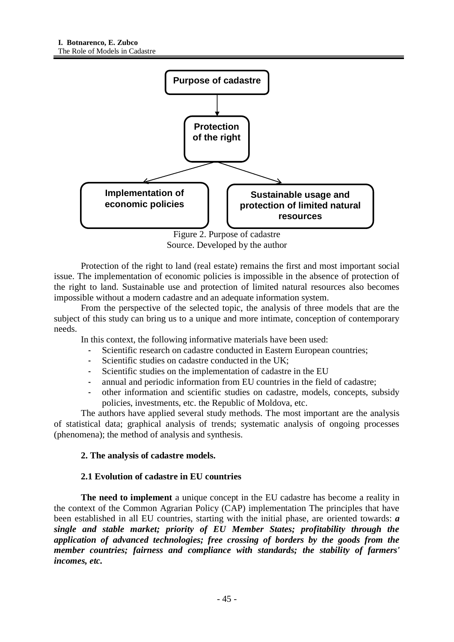

Figure 2. Purpose of cadastre Source. Developed by the author

Protection of the right to land (real estate) remains the first and most important social issue. The implementation of economic policies is impossible in the absence of protection of the right to land. Sustainable use and protection of limited natural resources also becomes impossible without a modern cadastre and an adequate information system.

From the perspective of the selected topic, the analysis of three models that are the subject of this study can bring us to a unique and more intimate, conception of contemporary needs.

In this context, the following informative materials have been used:

- Scientific research on cadastre conducted in Eastern European countries;
- Scientific studies on cadastre conducted in the UK:
- Scientific studies on the implementation of cadastre in the EU
- annual and periodic information from EU countries in the field of cadastre;
- other information and scientific studies on cadastre, models, concepts, subsidy policies, investments, etc. the Republic of Moldova, etc.

The authors have applied several study methods. The most important are the analysis of statistical data; graphical analysis of trends; systematic analysis of ongoing processes (phenomena); the method of analysis and synthesis.

## **2. The analysis of cadastre models.**

## **2.1 Evolution of cadastre in EU countries**

**The need to implement** a unique concept in the EU cadastre has become a reality in the context of the Common Agrarian Policy (CAP) implementation The principles that have been established in all EU countries, starting with the initial phase, are oriented towards: *a single and stable market; priority of EU Member States; profitability through the application of advanced technologies; free crossing of borders by the goods from the member countries; fairness and compliance with standards; the stability of farmers' incomes, etc.*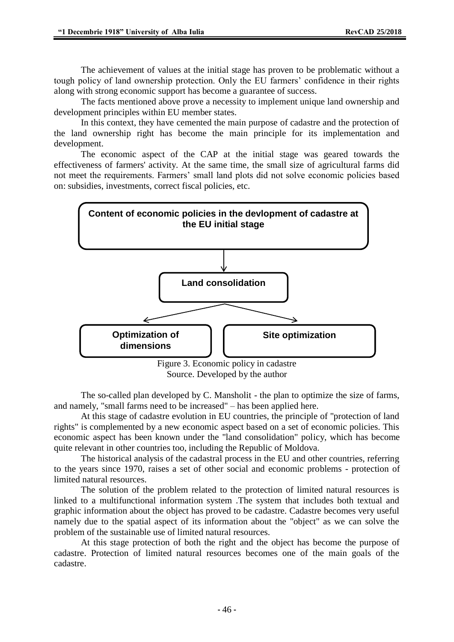The achievement of values at the initial stage has proven to be problematic without a tough policy of land ownership protection. Only the EU farmers' confidence in their rights along with strong economic support has become a guarantee of success.

The facts mentioned above prove a necessity to implement unique land ownership and development principles within EU member states.

In this context, they have cemented the main purpose of cadastre and the protection of the land ownership right has become the main principle for its implementation and development.

The economic aspect of the CAP at the initial stage was geared towards the effectiveness of farmers' activity. At the same time, the small size of agricultural farms did not meet the requirements. Farmers' small land plots did not solve economic policies based on: subsidies, investments, correct fiscal policies, etc.



Source. Developed by the author

The so-called plan developed by C. Mansholit - the plan to optimize the size of farms, and namely, "small farms need to be increased" – has been applied here.

At this stage of cadastre evolution in EU countries, the principle of "protection of land rights" is complemented by a new economic aspect based on a set of economic policies. This economic aspect has been known under the "land consolidation" policy, which has become quite relevant in other countries too, including the Republic of Moldova.

The historical analysis of the cadastral process in the EU and other countries, referring to the years since 1970, raises a set of other social and economic problems - protection of limited natural resources.

The solution of the problem related to the protection of limited natural resources is linked to a multifunctional information system .The system that includes both textual and graphic information about the object has proved to be cadastre. Cadastre becomes very useful namely due to the spatial aspect of its information about the "object" as we can solve the problem of the sustainable use of limited natural resources.

At this stage protection of both the right and the object has become the purpose of cadastre. Protection of limited natural resources becomes one of the main goals of the cadastre.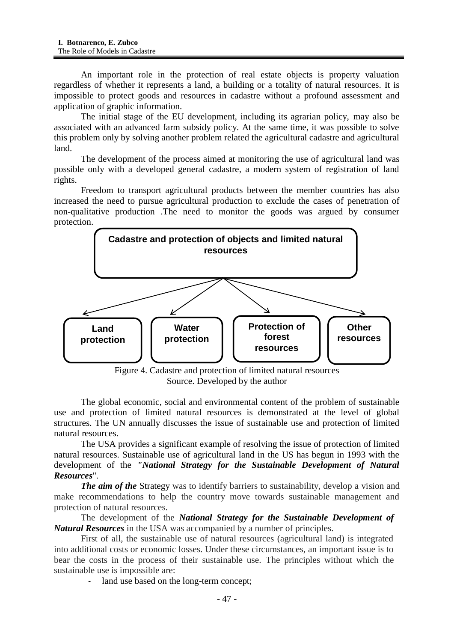An important role in the protection of real estate objects is property valuation regardless of whether it represents a land, a building or a totality of natural resources. It is impossible to protect goods and resources in cadastre without a profound assessment and application of graphic information.

The initial stage of the EU development, including its agrarian policy, may also be associated with an advanced farm subsidy policy. At the same time, it was possible to solve this problem only by solving another problem related the agricultural cadastre and agricultural land.

The development of the process aimed at monitoring the use of agricultural land was possible only with a developed general cadastre, a modern system of registration of land rights.

Freedom to transport agricultural products between the member countries has also increased the need to pursue agricultural production to exclude the cases of penetration of non-qualitative production .The need to monitor the goods was argued by consumer protection.



Source. Developed by the author

The global economic, social and environmental content of the problem of sustainable use and protection of limited natural resources is demonstrated at the level of global structures. The UN annually discusses the issue of sustainable use and protection of limited natural resources.

The USA provides a significant example of resolving the issue of protection of limited natural resources. Sustainable use of agricultural land in the US has begun in 1993 with the development of the *"National Strategy for the Sustainable Development of Natural Resources*".

*The aim of the* Strategy was to identify barriers to sustainability, develop a vision and make recommendations to help the country move towards sustainable management and protection of natural resources.

The development of the *National Strategy for the Sustainable Development of Natural Resources* in the USA was accompanied by a number of principles.

First of all, the sustainable use of natural resources (agricultural land) is integrated into additional costs or economic losses. Under these circumstances, an important issue is to bear the costs in the process of their sustainable use. The principles without which the sustainable use is impossible are:

land use based on the long-term concept;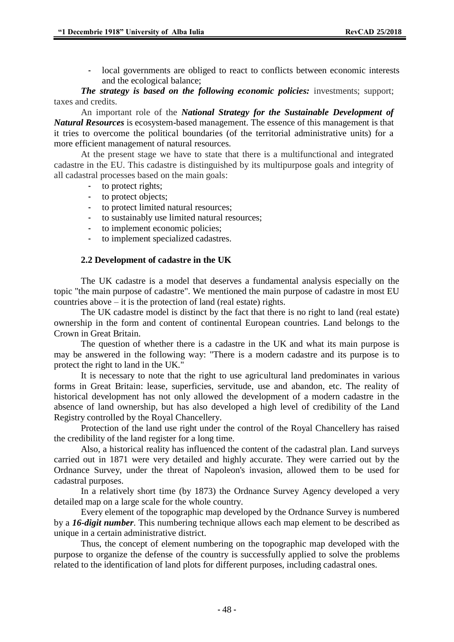- local governments are obliged to react to conflicts between economic interests and the ecological balance;

*The strategy is based on the following economic policies:* investments; support; taxes and credits.

An important role of the *National Strategy for the Sustainable Development of Natural Resources* is ecosystem-based management. The essence of this management is that it tries to overcome the political boundaries (of the territorial administrative units) for a more efficient management of natural resources.

At the present stage we have to state that there is a multifunctional and integrated cadastre in the EU. This cadastre is distinguished by its multipurpose goals and integrity of all cadastral processes based on the main goals:

- to protect rights;
- to protect objects;
- to protect limited natural resources;
- to sustainably use limited natural resources;
- to implement economic policies;
- to implement specialized cadastres.

#### **2.2 Development of cadastre in the UK**

The UK cadastre is a model that deserves a fundamental analysis especially on the topic "the main purpose of cadastre". We mentioned the main purpose of cadastre in most EU countries above  $-$  it is the protection of land (real estate) rights.

The UK cadastre model is distinct by the fact that there is no right to land (real estate) ownership in the form and content of continental European countries. Land belongs to the Crown in Great Britain.

The question of whether there is a cadastre in the UK and what its main purpose is may be answered in the following way: "There is a modern cadastre and its purpose is to protect the right to land in the UK."

It is necessary to note that the right to use agricultural land predominates in various forms in Great Britain: lease, superficies, servitude, use and abandon, etc. The reality of historical development has not only allowed the development of a modern cadastre in the absence of land ownership, but has also developed a high level of credibility of the Land Registry controlled by the Royal Chancellery.

Protection of the land use right under the control of the Royal Chancellery has raised the credibility of the land register for a long time.

Also, a historical reality has influenced the content of the cadastral plan. Land surveys carried out in 1871 were very detailed and highly accurate. They were carried out by the Ordnance Survey, under the threat of Napoleon's invasion, allowed them to be used for cadastral purposes.

In a relatively short time (by 1873) the Ordnance Survey Agency developed a very detailed map on a large scale for the whole country.

Every element of the topographic map developed by the Ordnance Survey is numbered by a *16-digit number*. This numbering technique allows each map element to be described as unique in a certain administrative district.

Thus, the concept of element numbering on the topographic map developed with the purpose to organize the defense of the country is successfully applied to solve the problems related to the identification of land plots for different purposes, including cadastral ones.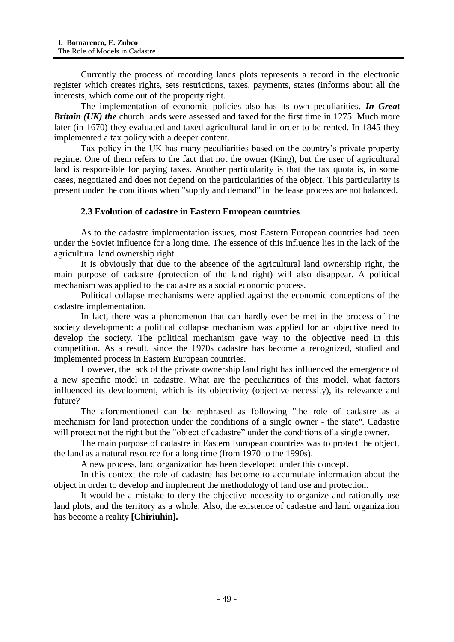Currently the process of recording lands plots represents a record in the electronic register which creates rights, sets restrictions, taxes, payments, states (informs about all the interests, which come out of the property right.

The implementation of economic policies also has its own peculiarities. *In Great Britain (UK) the* church lands were assessed and taxed for the first time in 1275. Much more later (in 1670) they evaluated and taxed agricultural land in order to be rented. In 1845 they implemented a tax policy with a deeper content.

Tax policy in the UK has many peculiarities based on the country's private property regime. One of them refers to the fact that not the owner (King), but the user of agricultural land is responsible for paying taxes. Another particularity is that the tax quota is, in some cases, negotiated and does not depend on the particularities of the object. This particularity is present under the conditions when "supply and demand" in the lease process are not balanced.

### **2.3 Evolution of cadastre in Eastern European countries**

As to the cadastre implementation issues, most Eastern European countries had been under the Soviet influence for a long time. The essence of this influence lies in the lack of the agricultural land ownership right.

It is obviously that due to the absence of the agricultural land ownership right, the main purpose of cadastre (protection of the land right) will also disappear. A political mechanism was applied to the cadastre as a social economic process.

Political collapse mechanisms were applied against the economic conceptions of the cadastre implementation.

In fact, there was a phenomenon that can hardly ever be met in the process of the society development: a political collapse mechanism was applied for an objective need to develop the society. The political mechanism gave way to the objective need in this competition. As a result, since the 1970s cadastre has become a recognized, studied and implemented process in Eastern European countries.

However, the lack of the private ownership land right has influenced the emergence of a new specific model in cadastre. What are the peculiarities of this model, what factors influenced its development, which is its objectivity (objective necessity), its relevance and future?

The aforementioned can be rephrased as following "the role of cadastre as a mechanism for land protection under the conditions of a single owner - the state". Cadastre will protect not the right but the "object of cadastre" under the conditions of a single owner.

The main purpose of cadastre in Eastern European countries was to protect the object, the land as a natural resource for a long time (from 1970 to the 1990s).

A new process, land organization has been developed under this concept.

In this context the role of cadastre has become to accumulate information about the object in order to develop and implement the methodology of land use and protection.

It would be a mistake to deny the objective necessity to organize and rationally use land plots, and the territory as a whole. Also, the existence of cadastre and land organization has become a reality **[Chiriuhin].**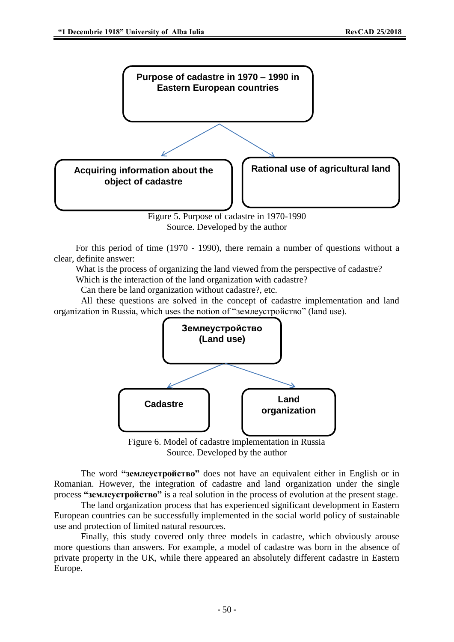

Source. Developed by the author

For this period of time (1970 - 1990), there remain a number of questions without a clear, definite answer:

What is the process of organizing the land viewed from the perspective of cadastre?

Which is the interaction of the land organization with cadastre?

Can there be land organization without cadastre?, etc.

All these questions are solved in the concept of cadastre implementation and land organization in Russia, which uses the notion of "землеустройство" (land use).



Figure 6. Model of cadastre implementation in Russia Source. Developed by the author

The word **"землеустройство"** does not have an equivalent either in English or in Romanian. However, the integration of cadastre and land organization under the single process **"землеустройство"** is a real solution in the process of evolution at the present stage.

The land organization process that has experienced significant development in Eastern European countries can be successfully implemented in the social world policy of sustainable use and protection of limited natural resources.

Finally, this study covered only three models in cadastre, which obviously arouse more questions than answers. For example, a model of cadastre was born in the absence of private property in the UK, while there appeared an absolutely different cadastre in Eastern Europe.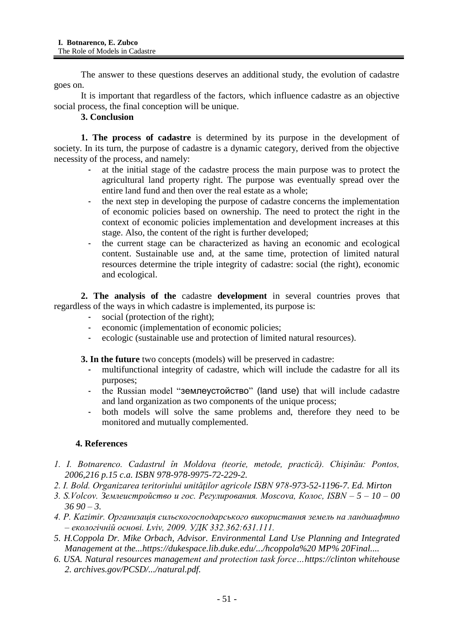The answer to these questions deserves an additional study, the evolution of cadastre goes on.

It is important that regardless of the factors, which influence cadastre as an objective social process, the final conception will be unique.

### **3. Conclusion**

**1. The process of cadastre** is determined by its purpose in the development of society. In its turn, the purpose of cadastre is a dynamic category, derived from the objective necessity of the process, and namely:

- at the initial stage of the cadastre process the main purpose was to protect the agricultural land property right. The purpose was eventually spread over the entire land fund and then over the real estate as a whole;
- the next step in developing the purpose of cadastre concerns the implementation of economic policies based on ownership. The need to protect the right in the context of economic policies implementation and development increases at this stage. Also, the content of the right is further developed;
- the current stage can be characterized as having an economic and ecological content. Sustainable use and, at the same time, protection of limited natural resources determine the triple integrity of cadastre: social (the right), economic and ecological.

**2. The analysis of the** cadastre **development** in several countries proves that regardless of the ways in which cadastre is implemented, its purpose is:

- social (protection of the right);
- economic (implementation of economic policies;
- ecologic (sustainable use and protection of limited natural resources).

**3. In the future** two concepts (models) will be preserved in cadastre:

- multifunctional integrity of cadastre, which will include the cadastre for all its purposes;
- the Russian model "землеустойство" (land use) that will include cadastre and land organization as two components of the unique process;
- both models will solve the same problems and, therefore they need to be monitored and mutually complemented.

## **4. References**

- *1. I. Botnarenco. Cadastrul în Moldova (teorie, metode, practică). Chişinău: Pontos, 2006,216 p.15 c.a. ISBN 978-978-9975-72-229-2.*
- *2. I. Bold. Organizarea teritoriului unităţilor agricole ISBN 978-973-52-1196-7. Ed. Mirton*
- *3. S.Volcov. Землеистройство и гос. Регулирования. Moscova, Колос, ISBN – 5 – 10 – 00 36 90 – 3.*
- *4. P. Kazimir. Организацiя сильскогосподарського використання земель на ландшафтно – екологiчнiй основi. Lviv, 2009. УДК 332.362:631.111.*
- *5. H.Coppola Dr. Mike Orbach, Advisor. [Environmental Land Use Planning and Integrated](https://www.google.ru/url?sa=t&rct=j&q=&esrc=s&source=web&cd=1&ved=2ahUKEwi8w4ye_9fcAhXKsqQKHea4DG0QFjAAegQIABAC&url=https%3A%2F%2Fdukespace.lib.duke.edu%2Fdspace%2Fbitstream%2Fhandle%2F10161%2F3668%2Fhcoppola%2520MP%2520Final.pdf%3Bsequence%3D1&usg=AOvVaw1r-NSd_tRdBiOAi6GBv43Z)  [Management at the...https://dukespace.lib.duke.edu/.](https://www.google.ru/url?sa=t&rct=j&q=&esrc=s&source=web&cd=1&ved=2ahUKEwi8w4ye_9fcAhXKsqQKHea4DG0QFjAAegQIABAC&url=https%3A%2F%2Fdukespace.lib.duke.edu%2Fdspace%2Fbitstream%2Fhandle%2F10161%2F3668%2Fhcoppola%2520MP%2520Final.pdf%3Bsequence%3D1&usg=AOvVaw1r-NSd_tRdBiOAi6GBv43Z)../hcoppola%20 MP% 20Final....*
- *6. USA. Natural resources management and protection task force…https://clinton whitehouse 2. archives.gov/PCSD/.../natural.pdf.*